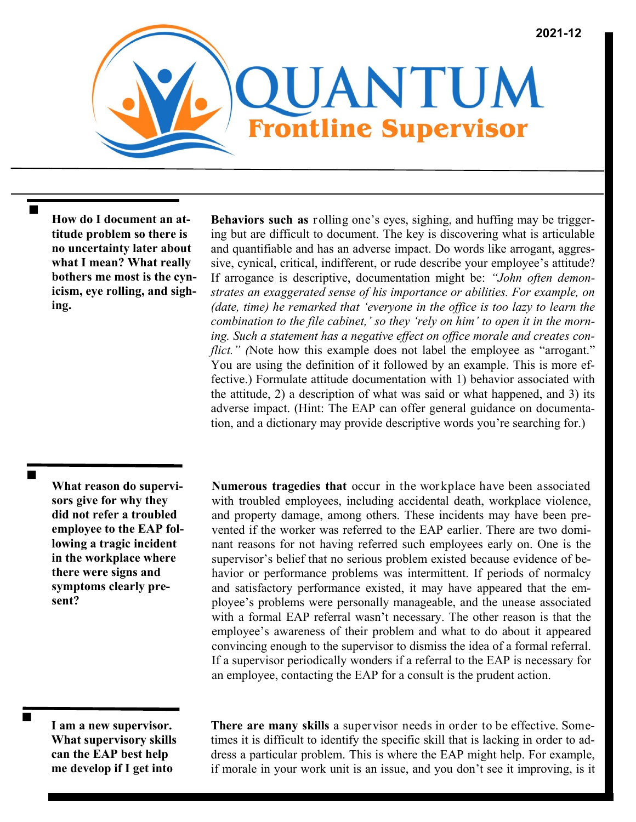

**How do I document an attitude problem so there is no uncertainty later about what I mean? What really bothers me most is the cynicism, eye rolling, and sighing.**

**Behaviors such as** rolling one's eyes, sighing, and huffing may be triggering but are difficult to document. The key is discovering what is articulable and quantifiable and has an adverse impact. Do words like arrogant, aggressive, cynical, critical, indifferent, or rude describe your employee's attitude? If arrogance is descriptive, documentation might be: *"John often demonstrates an exaggerated sense of his importance or abilities. For example, on (date, time) he remarked that 'everyone in the office is too lazy to learn the combination to the file cabinet,' so they 'rely on him' to open it in the morning. Such a statement has a negative effect on office morale and creates conflict."* (Note how this example does not label the employee as "arrogant." You are using the definition of it followed by an example. This is more effective.) Formulate attitude documentation with 1) behavior associated with the attitude, 2) a description of what was said or what happened, and 3) its adverse impact. (Hint: The EAP can offer general guidance on documentation, and a dictionary may provide descriptive words you're searching for.)

**What reason do supervisors give for why they did not refer a troubled employee to the EAP following a tragic incident in the workplace where there were signs and symptoms clearly present?**

 $\blacksquare$ 

**Numerous tragedies that** occur in the workplace have been associated with troubled employees, including accidental death, workplace violence, and property damage, among others. These incidents may have been prevented if the worker was referred to the EAP earlier. There are two dominant reasons for not having referred such employees early on. One is the supervisor's belief that no serious problem existed because evidence of behavior or performance problems was intermittent. If periods of normalcy and satisfactory performance existed, it may have appeared that the employee's problems were personally manageable, and the unease associated with a formal EAP referral wasn't necessary. The other reason is that the employee's awareness of their problem and what to do about it appeared convincing enough to the supervisor to dismiss the idea of a formal referral. If a supervisor periodically wonders if a referral to the EAP is necessary for an employee, contacting the EAP for a consult is the prudent action.

**I am a new supervisor. What supervisory skills can the EAP best help me develop if I get into** 

**There are many skills** a supervisor needs in order to be effective. Sometimes it is difficult to identify the specific skill that is lacking in order to address a particular problem. This is where the EAP might help. For example, if morale in your work unit is an issue, and you don't see it improving, is it